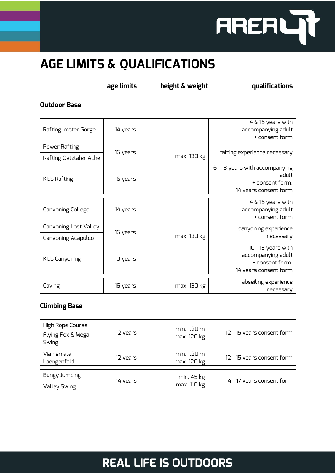

## **AGE LIMITS & QUALIFICATIONS**

**age limits height & weight qualifications**

**Outdoor Base**

| Rafting Imster Gorge   | 14 years |             | $14 \& 15$ years with          |
|------------------------|----------|-------------|--------------------------------|
|                        |          |             | accompanying adult             |
|                        |          |             | + consent form                 |
| Power Rafting          | 16 years | max. 130 kg |                                |
| Rafting Oetztaler Ache |          |             | rafting experience necessary   |
| Kids Rafting           | 6 years  |             | 6 - 13 years with accompanying |
|                        |          |             | adult                          |
|                        |          |             | + consent form,                |
|                        |          |             | 14 years consent form          |
| Canyoning College      | 14 years |             | $14 \& 15$ years with          |
|                        |          |             | accompanying adult             |
|                        |          |             | + consent form                 |
| Canyoning Lost Valley  | 16 years | max. 130 kg | canyoning experience           |
| Canyoning Acapulco     |          |             | necessary                      |
| Kids Canyoning         | 10 years |             | 10 - 13 years with             |
|                        |          |             | accompanying adult             |
|                        |          |             | + consent form,                |
|                        |          |             | 14 years consent form          |
| Caving                 | 16 years |             | abseiling experience           |
|                        |          | max. 130 kg | necessary                      |
|                        |          |             |                                |

#### **Climbing Base**

| High Rope Course           |          | min. 1,20 m |                            |
|----------------------------|----------|-------------|----------------------------|
| Flying Fox & Mega<br>Swing | 12 years | max. 120 kg | 12 - 15 years consent form |
| Via Ferrata                |          |             |                            |
|                            | 12 years | min. 1,20 m | 12 - 15 years consent form |
| Laengenfeld                |          | max. 120 kg |                            |
| <b>Bungy Jumping</b>       | 14 years | min. 45 kg  | 14 - 17 years consent form |
| Valley Swing               |          | max. 110 kg |                            |

### **REAL LIFE IS OUTDOORS**